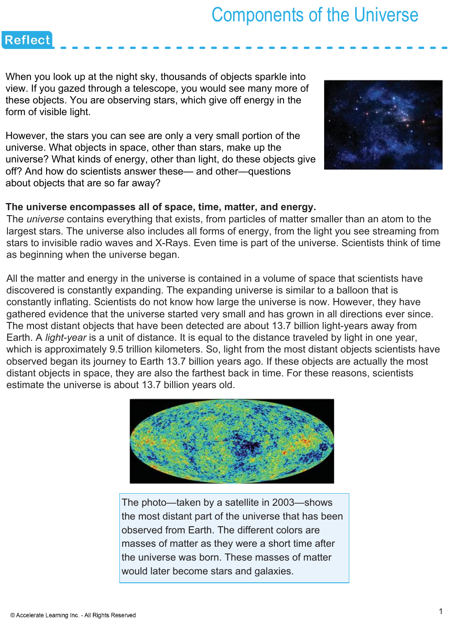When you look up at the night sky, thousands of objects sparkle into view. If you gazed through a telescope, you would see many more of these objects. You are observing stars, which give off energy in the form of visible light.

**Reflect** 

However, the stars you can see are only a very small portion of the universe. What objects in space, other than stars, make up the universe? What kinds of energy, other than light, do these objects give off? And how do scientists answer these— and other—questions about objects that are so far away?



### **The universe encompasses all of space, time, matter, and energy.**

The *universe* contains everything that exists, from particles of matter smaller than an atom to the largest stars. The universe also includes all forms of energy, from the light you see streaming from stars to invisible radio waves and X-Rays. Even time is part of the universe. Scientists think of time as beginning when the universe began.

All the matter and energy in the universe is contained in a volume of space that scientists have discovered is constantly expanding. The expanding universe is similar to a balloon that is constantly inflating. Scientists do not know how large the universe is now. However, they have gathered evidence that the universe started very small and has grown in all directions ever since. The most distant objects that have been detected are about 13.7 billion light-years away from Earth. A *light-year* is a unit of distance. It is equal to the distance traveled by light in one year, which is approximately 9.5 trillion kilometers. So, light from the most distant objects scientists have observed began its journey to Earth 13.7 billion years ago. If these objects are actually the most distant objects in space, they are also the farthest back in time. For these reasons, scientists estimate the universe is about 13.7 billion years old.



The photo—taken by a satellite in 2003—shows the most distant part of the universe that has been observed from Earth. The different colors are masses of matter as they were a short time after the universe was born. These masses of matter would later become stars and galaxies.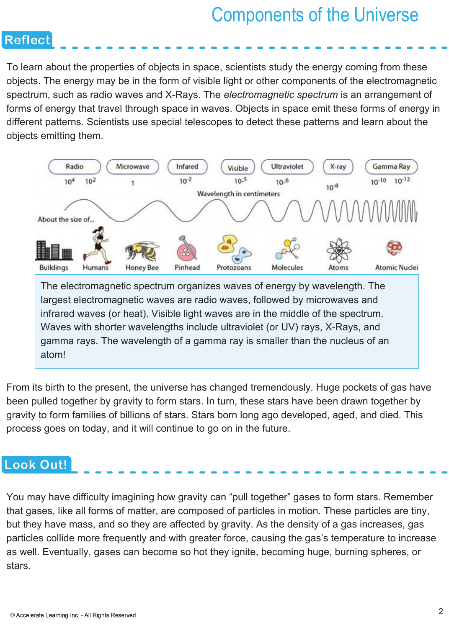To learn about the properties of objects in space, scientists study the energy coming from these objects. The energy may be in the form of visible light or other components of the electromagnetic spectrum, such as radio waves and X-Rays. The *electromagnetic spectrum* is an arrangement of forms of energy that travel through space in waves. Objects in space emit these forms of energy in different patterns. Scientists use special telescopes to detect these patterns and learn about the objects emitting them.



From its birth to the present, the universe has changed tremendously. Huge pockets of gas have been pulled together by gravity to form stars. In turn, these stars have been drawn together by gravity to form families of billions of stars. Stars born long ago developed, aged, and died. This process goes on today, and it will continue to go on in the future.

### Look Out!

**Reflect** 

You may have difficulty imagining how gravity can "pull together" gases to form stars. Remember that gases, like all forms of matter, are composed of particles in motion. These particles are tiny, but they have mass, and so they are affected by gravity. As the density of a gas increases, gas particles collide more frequently and with greater force, causing the gas's temperature to increase as well. Eventually, gases can become so hot they ignite, becoming huge, burning spheres, or stars.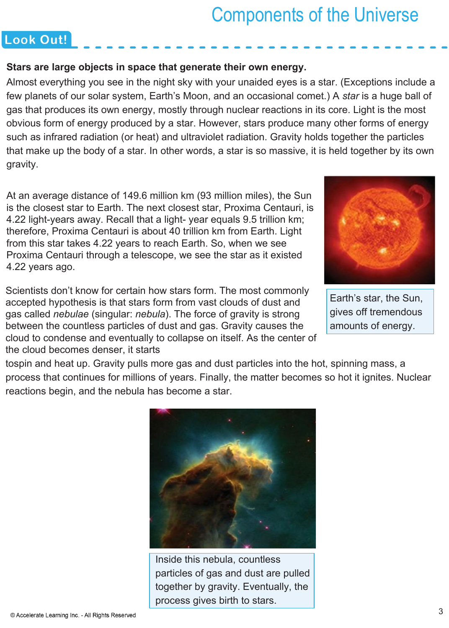### Look Out!

#### **Stars are large objects in space that generate their own energy.**

Almost everything you see in the night sky with your unaided eyes is a star. (Exceptions include a few planets of our solar system, Earth's Moon, and an occasional comet.) A *star* is a huge ball of gas that produces its own energy, mostly through nuclear reactions in its core. Light is the most obvious form of energy produced by a star. However, stars produce many other forms of energy such as infrared radiation (or heat) and ultraviolet radiation. Gravity holds together the particles that make up the body of a star. In other words, a star is so massive, it is held together by its own gravity.

At an average distance of 149.6 million km (93 million miles), the Sun is the closest star to Earth. The next closest star, Proxima Centauri, is 4.22 light-years away. Recall that a light- year equals 9.5 trillion km; therefore, Proxima Centauri is about 40 trillion km from Earth. Light from this star takes 4.22 years to reach Earth. So, when we see Proxima Centauri through a telescope, we see the star as it existed 4.22 years ago.

Scientists don't know for certain how stars form. The most commonly accepted hypothesis is that stars form from vast clouds of dust and gas called *nebulae* (singular: *nebula*). The force of gravity is strong between the countless particles of dust and gas. Gravity causes the cloud to condense and eventually to collapse on itself. As the center of the cloud becomes denser, it starts



Earth's star, the Sun, gives off tremendous amounts of energy.

tospin and heat up. Gravity pulls more gas and dust particles into the hot, spinning mass, a process that continues for millions of years. Finally, the matter becomes so hot it ignites. Nuclear reactions begin, and the nebula has become a star.

![](_page_2_Picture_9.jpeg)

Inside this nebula, countless particles of gas and dust are pulled together by gravity. Eventually, the process gives birth to stars.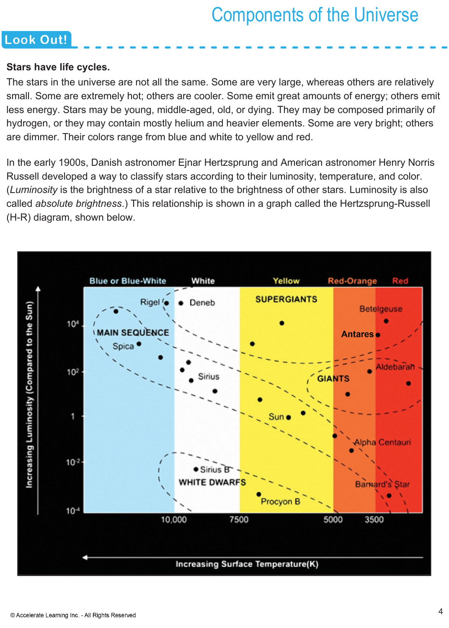### Look Out!

#### **Stars have life cycles.**

The stars in the universe are not all the same. Some are very large, whereas others are relatively small. Some are extremely hot; others are cooler. Some emit great amounts of energy; others emit less energy. Stars may be young, middle-aged, old, or dying. They may be composed primarily of hydrogen, or they may contain mostly helium and heavier elements. Some are very bright; others are dimmer. Their colors range from blue and white to yellow and red.

In the early 1900s, Danish astronomer Ejnar Hertzsprung and American astronomer Henry Norris Russell developed a way to classify stars according to their luminosity, temperature, and color. (*Luminosity* is the brightness of a star relative to the brightness of other stars. Luminosity is also called *absolute brightness*.) This relationship is shown in a graph called the Hertzsprung-Russell (H-R) diagram, shown below.

![](_page_3_Figure_5.jpeg)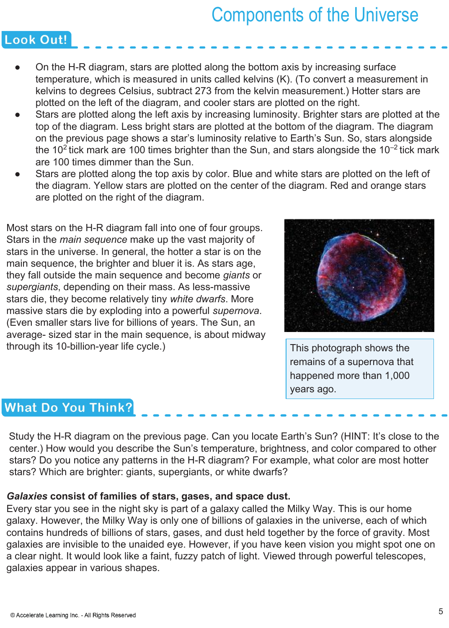### Look Out!

- On the H-R diagram, stars are plotted along the bottom axis by increasing surface temperature, which is measured in units called kelvins (K). (To convert a measurement in kelvins to degrees Celsius, subtract 273 from the kelvin measurement.) Hotter stars are plotted on the left of the diagram, and cooler stars are plotted on the right.
- Stars are plotted along the left axis by increasing luminosity. Brighter stars are plotted at the top of the diagram. Less bright stars are plotted at the bottom of the diagram. The diagram on the previous page shows a star's luminosity relative to Earth's Sun. So, stars alongside the 10<sup>2</sup> tick mark are 100 times brighter than the Sun, and stars alongside the 10<sup>-2</sup> tick mark are 100 times dimmer than the Sun.
- Stars are plotted along the top axis by color. Blue and white stars are plotted on the left of the diagram. Yellow stars are plotted on the center of the diagram. Red and orange stars are plotted on the right of the diagram.

Most stars on the H-R diagram fall into one of four groups. Stars in the *main sequence* make up the vast majority of stars in the universe. In general, the hotter a star is on the main sequence, the brighter and bluer it is. As stars age, they fall outside the main sequence and become *giants* or *supergiants*, depending on their mass. As less-massive stars die, they become relatively tiny *white dwarfs*. More massive stars die by exploding into a powerful *supernova*. (Even smaller stars live for billions of years. The Sun, an average- sized star in the main sequence, is about midway through its 10-billion-year life cycle.) This photograph shows the

![](_page_4_Picture_6.jpeg)

remains of a supernova that happened more than 1,000 years ago.

### **What Do You Think?**

Study the H-R diagram on the previous page. Can you locate Earth's Sun? (HINT: It's close to the center.) How would you describe the Sun's temperature, brightness, and color compared to other stars? Do you notice any patterns in the H-R diagram? For example, what color are most hotter stars? Which are brighter: giants, supergiants, or white dwarfs?

### *Galaxies* **consist of families of stars, gases, and space dust.**

Every star you see in the night sky is part of a galaxy called the Milky Way. This is our home galaxy. However, the Milky Way is only one of billions of galaxies in the universe, each of which contains hundreds of billions of stars, gases, and dust held together by the force of gravity. Most galaxies are invisible to the unaided eye. However, if you have keen vision you might spot one on a clear night. It would look like a faint, fuzzy patch of light. Viewed through powerful telescopes, galaxies appear in various shapes.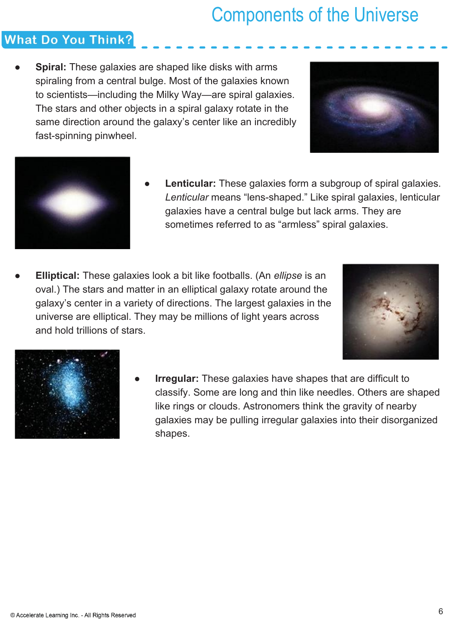### **What Do You Think?**

**Spiral:** These galaxies are shaped like disks with arms spiraling from a central bulge. Most of the galaxies known to scientists—including the Milky Way—are spiral galaxies. The stars and other objects in a spiral galaxy rotate in the same direction around the galaxy's center like an incredibly fast-spinning pinwheel.

![](_page_5_Picture_3.jpeg)

![](_page_5_Picture_4.jpeg)

- **Lenticular:** These galaxies form a subgroup of spiral galaxies. *Lenticular* means "lens-shaped." Like spiral galaxies, lenticular galaxies have a central bulge but lack arms. They are sometimes referred to as "armless" spiral galaxies.
- **Elliptical:** These galaxies look a bit like footballs. (An *ellipse* is an oval.) The stars and matter in an elliptical galaxy rotate around the galaxy's center in a variety of directions. The largest galaxies in the universe are elliptical. They may be millions of light years across and hold trillions of stars.

![](_page_5_Picture_7.jpeg)

![](_page_5_Picture_8.jpeg)

**Irregular:** These galaxies have shapes that are difficult to classify. Some are long and thin like needles. Others are shaped like rings or clouds. Astronomers think the gravity of nearby galaxies may be pulling irregular galaxies into their disorganized shapes.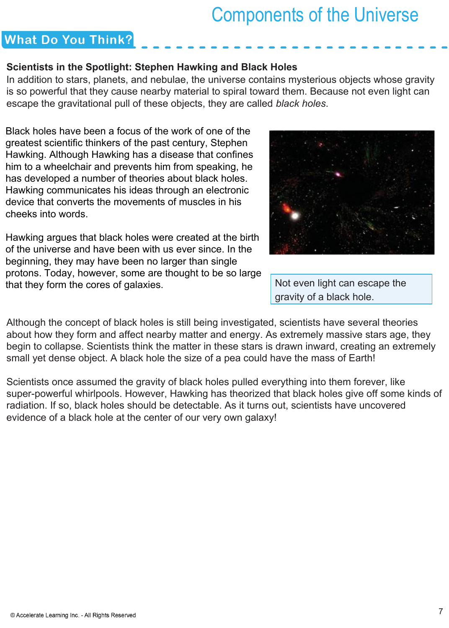### **What Do You Think?**

#### **Scientists in the Spotlight: Stephen Hawking and Black Holes**

In addition to stars, planets, and nebulae, the universe contains mysterious objects whose gravity is so powerful that they cause nearby material to spiral toward them. Because not even light can escape the gravitational pull of these objects, they are called *black holes*.

Black holes have been a focus of the work of one of the greatest scientific thinkers of the past century, Stephen Hawking. Although Hawking has a disease that confines him to a wheelchair and prevents him from speaking, he has developed a number of theories about black holes. Hawking communicates his ideas through an electronic device that converts the movements of muscles in his cheeks into words.

Hawking argues that black holes were created at the birth of the universe and have been with us ever since. In the beginning, they may have been no larger than single protons. Today, however, some are thought to be so large that they form the cores of galaxies.

![](_page_6_Picture_6.jpeg)

Not even light can escape the gravity of a black hole.

Although the concept of black holes is still being investigated, scientists have several theories about how they form and affect nearby matter and energy. As extremely massive stars age, they begin to collapse. Scientists think the matter in these stars is drawn inward, creating an extremely small yet dense object. A black hole the size of a pea could have the mass of Earth!

Scientists once assumed the gravity of black holes pulled everything into them forever, like super-powerful whirlpools. However, Hawking has theorized that black holes give off some kinds of radiation. If so, black holes should be detectable. As it turns out, scientists have uncovered evidence of a black hole at the center of our very own galaxy!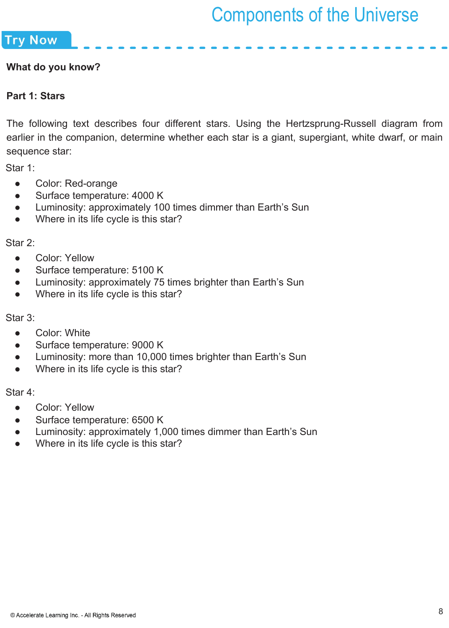**Try Now** 

#### **What do you know?**

#### **Part 1: Stars**

The following text describes four different stars. Using the Hertzsprung-Russell diagram from earlier in the companion, determine whether each star is a giant, supergiant, white dwarf, or main sequence star:

Star 1:

- Color: Red-orange
- Surface temperature: 4000 K
- Luminosity: approximately 100 times dimmer than Earth's Sun
- Where in its life cycle is this star?

Star 2:

- Color: Yellow
- Surface temperature: 5100 K
- Luminosity: approximately 75 times brighter than Earth's Sun
- Where in its life cycle is this star?

Star 3:

- Color: White
- Surface temperature: 9000 K
- Luminosity: more than 10,000 times brighter than Earth's Sun
- Where in its life cycle is this star?

Star 4:

- Color: Yellow
- Surface temperature: 6500 K
- Luminosity: approximately 1,000 times dimmer than Earth's Sun
- Where in its life cycle is this star?